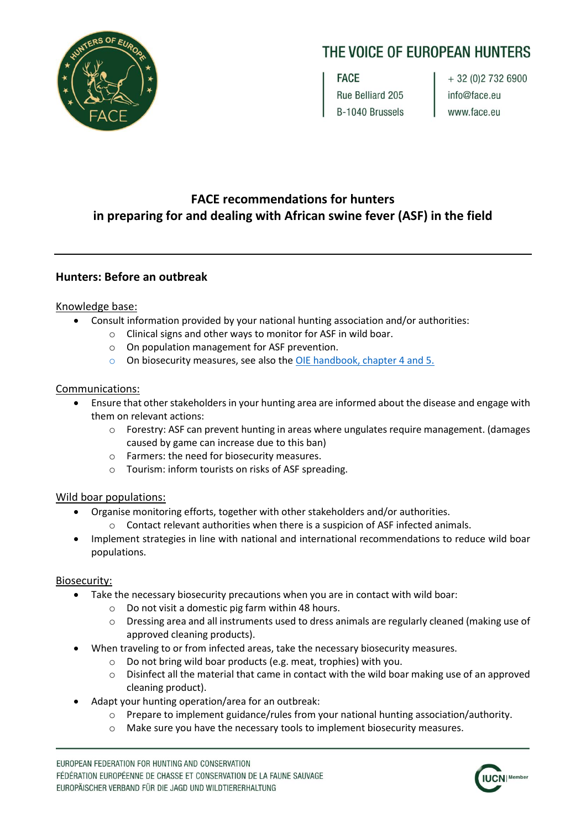

# THE VOICE OF EUROPEAN HUNTERS

**FACE** Rue Belliard 205 B-1040 Brussels

+ 32 (0) 2 732 6900 info@face.eu www.face.eu

# **FACE recommendations for hunters in preparing for and dealing with African swine fever (ASF) in the field**

# **Hunters: Before an outbreak**

#### Knowledge base:

- Consult information provided by your national hunting association and/or authorities:
	- o Clinical signs and other ways to monitor for ASF in wild boar.
	- o On population management for ASF prevention.
	- o On biosecurity measures, see also the [OIE handbook,](http://web.oie.int/RR-Europe/eng/eng/Regprog/docs/docs/GF-TADs%20Handbook_ASF_WILDBOAR%20version%202018-09-25.pdf) chapter 4 and 5.

# Communications:

- Ensure that other stakeholders in your hunting area are informed about the disease and engage with them on relevant actions:
	- $\circ$  Forestry: ASF can prevent hunting in areas where ungulates require management. (damages caused by game can increase due to this ban)
	- o Farmers: the need for biosecurity measures.
	- o Tourism: inform tourists on risks of ASF spreading.

# Wild boar populations:

- Organise monitoring efforts, together with other stakeholders and/or authorities.
	- $\circ$  Contact relevant authorities when there is a suspicion of ASF infected animals.
- Implement strategies in line with national and international recommendations to reduce wild boar populations.

# Biosecurity:

- Take the necessary biosecurity precautions when you are in contact with wild boar:
	- o Do not visit a domestic pig farm within 48 hours.
	- $\circ$  Dressing area and all instruments used to dress animals are regularly cleaned (making use of approved cleaning products).
- When traveling to or from infected areas, take the necessary biosecurity measures.
	- o Do not bring wild boar products (e.g. meat, trophies) with you.
	- $\circ$  Disinfect all the material that came in contact with the wild boar making use of an approved cleaning product).
- Adapt your hunting operation/area for an outbreak:
	- o Prepare to implement guidance/rules from your national hunting association/authority.
	- o Make sure you have the necessary tools to implement biosecurity measures.